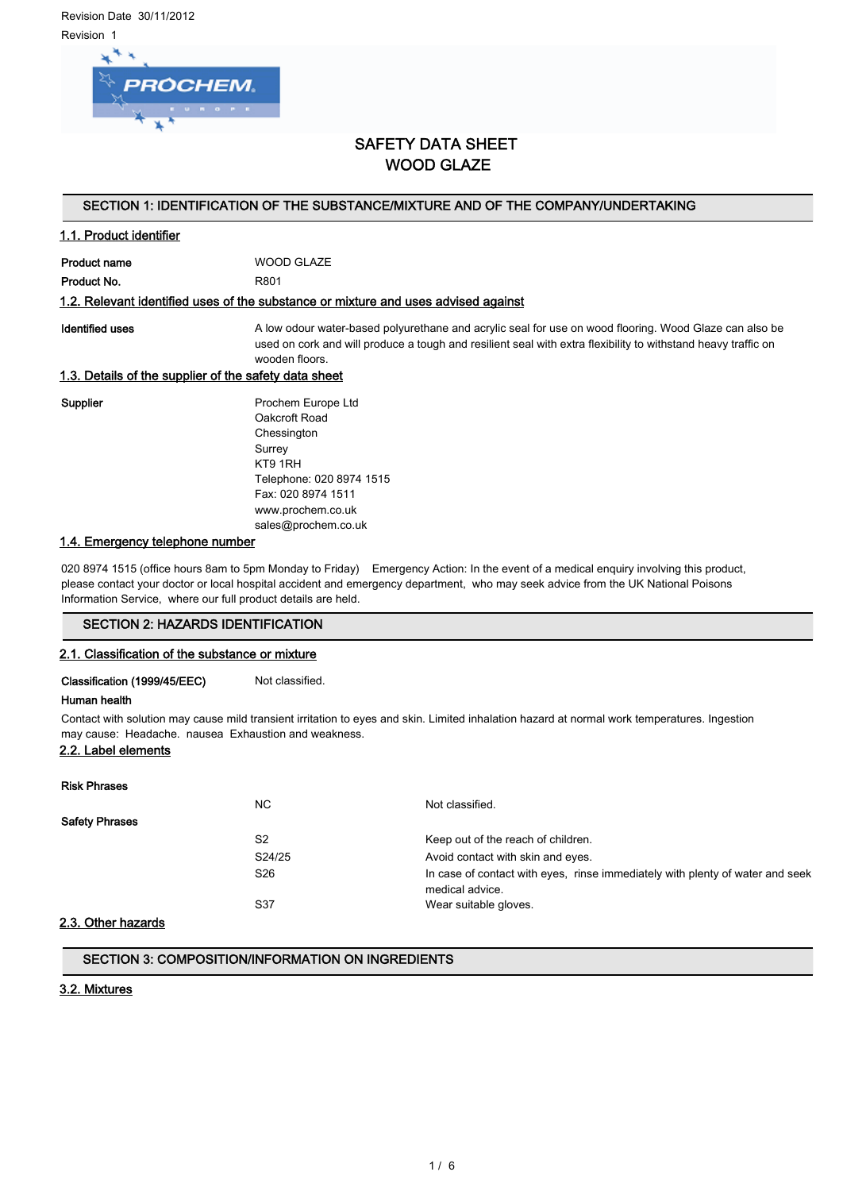Revision Date 30/11/2012 Revision 1



# SAFETY DATA SHEET WOOD GLAZE

# SECTION 1: IDENTIFICATION OF THE SUBSTANCE/MIXTURE AND OF THE COMPANY/UNDERTAKING

# 1.1. Product identifier

Product name WOOD GLAZE Product No. 6801

#### 1.2. Relevant identified uses of the substance or mixture and uses advised against

Identified uses **A** low odour water-based polyurethane and acrylic seal for use on wood flooring. Wood Glaze can also be used on cork and will produce a tough and resilient seal with extra flexibility to withstand heavy traffic on wooden floors.

#### 1.3. Details of the supplier of the safety data sheet

Supplier **Prochem Europe Ltd** Oakcroft Road Chessington Surrey KT9 1RH Telephone: 020 8974 1515 Fax: 020 8974 1511 www.prochem.co.uk sales@prochem.co.uk

#### 1.4. Emergency telephone number

020 8974 1515 (office hours 8am to 5pm Monday to Friday) Emergency Action: In the event of a medical enquiry involving this product, please contact your doctor or local hospital accident and emergency department, who may seek advice from the UK National Poisons Information Service, where our full product details are held.

# SECTION 2: HAZARDS IDENTIFICATION

#### 2.1. Classification of the substance or mixture

Classification (1999/45/EEC) Not classified.

#### Human health

Contact with solution may cause mild transient irritation to eyes and skin. Limited inhalation hazard at normal work temperatures. Ingestion may cause: Headache. nausea Exhaustion and weakness.

# 2.2. Label elements

| NC.<br>Not classified.                                                                                              |  |
|---------------------------------------------------------------------------------------------------------------------|--|
|                                                                                                                     |  |
| <b>Safety Phrases</b>                                                                                               |  |
| S <sub>2</sub><br>Keep out of the reach of children.                                                                |  |
| S24/25<br>Avoid contact with skin and eyes.                                                                         |  |
| S <sub>26</sub><br>In case of contact with eyes, rinse immediately with plenty of water and seek<br>medical advice. |  |
| S37<br>Wear suitable gloves.                                                                                        |  |

#### 2.3. Other hazards

## SECTION 3: COMPOSITION/INFORMATION ON INGREDIENTS

#### 3.2. Mixtures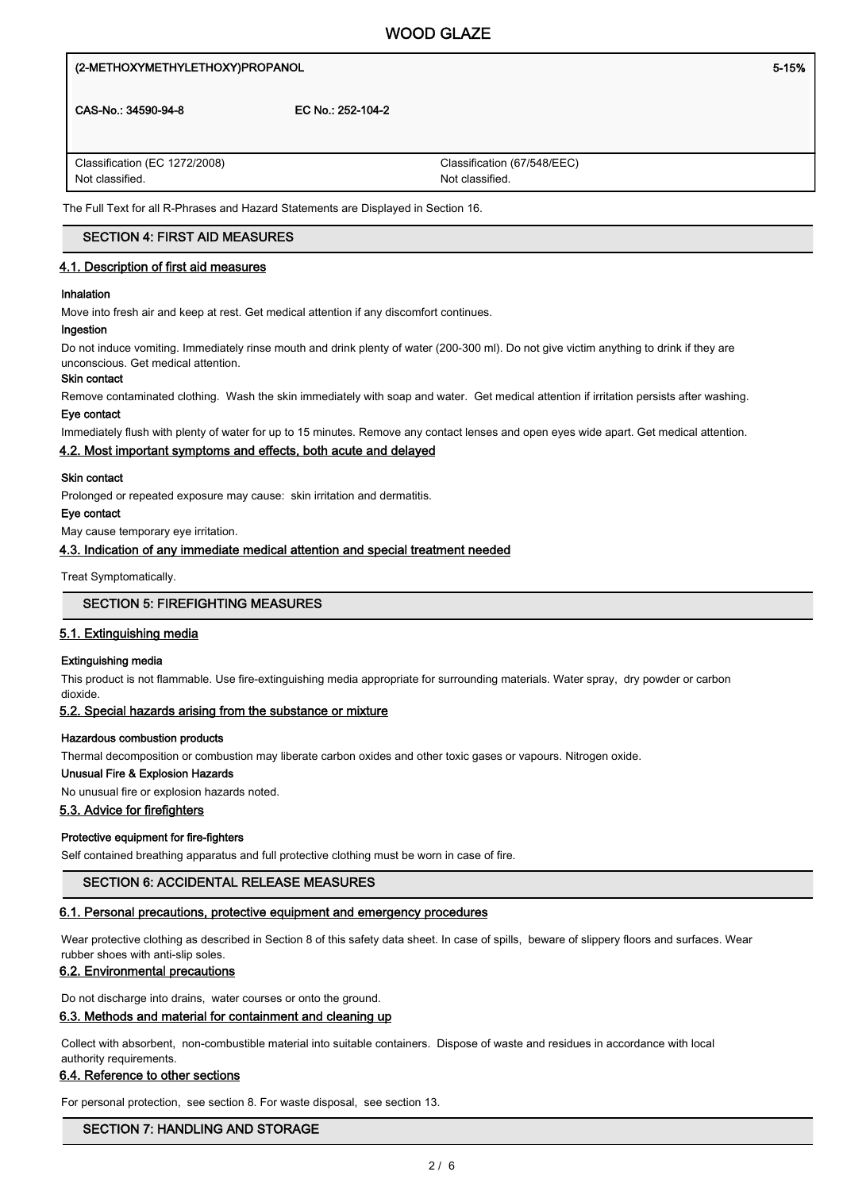# (2-METHOXYMETHYLETHOXY)PROPANOL **1999 of the contract of the contract of the contract of the contract of the contract of the contract of the contract of the contract of the contract of the contract of the contract of the c** CAS-No.: 34590-94-8 EC No.: 252-104-2 Classification (67/548/EEC) Not classified. Classification (EC 1272/2008) Not classified.

The Full Text for all R-Phrases and Hazard Statements are Displayed in Section 16.

# SECTION 4: FIRST AID MEASURES

## 4.1. Description of first aid measures

#### Inhalation

Move into fresh air and keep at rest. Get medical attention if any discomfort continues.

#### Ingestion

Do not induce vomiting. Immediately rinse mouth and drink plenty of water (200-300 ml). Do not give victim anything to drink if they are unconscious. Get medical attention.

#### Skin contact

Remove contaminated clothing. Wash the skin immediately with soap and water. Get medical attention if irritation persists after washing.

## Eye contact

Immediately flush with plenty of water for up to 15 minutes. Remove any contact lenses and open eyes wide apart. Get medical attention.

#### 4.2. Most important symptoms and effects, both acute and delayed

#### Skin contact

Prolonged or repeated exposure may cause: skin irritation and dermatitis.

#### Eye contact

May cause temporary eye irritation.

# 4.3. Indication of any immediate medical attention and special treatment needed

Treat Symptomatically.

### SECTION 5: FIREFIGHTING MEASURES

#### 5.1. Extinguishing media

#### Extinguishing media

This product is not flammable. Use fire-extinguishing media appropriate for surrounding materials. Water spray, dry powder or carbon dioxide.

#### 5.2. Special hazards arising from the substance or mixture

#### Hazardous combustion products

Thermal decomposition or combustion may liberate carbon oxides and other toxic gases or vapours. Nitrogen oxide.

#### Unusual Fire & Explosion Hazards

No unusual fire or explosion hazards noted.

## 5.3. Advice for firefighters

#### Protective equipment for fire-fighters

Self contained breathing apparatus and full protective clothing must be worn in case of fire.

#### SECTION 6: ACCIDENTAL RELEASE MEASURES

#### 6.1. Personal precautions, protective equipment and emergency procedures

Wear protective clothing as described in Section 8 of this safety data sheet. In case of spills, beware of slippery floors and surfaces. Wear rubber shoes with anti-slip soles.

#### 6.2. Environmental precautions

Do not discharge into drains, water courses or onto the ground.

#### 6.3. Methods and material for containment and cleaning up

Collect with absorbent, non-combustible material into suitable containers. Dispose of waste and residues in accordance with local authority requirements.

#### 6.4. Reference to other sections

For personal protection, see section 8. For waste disposal, see section 13.

#### SECTION 7: HANDLING AND STORAGE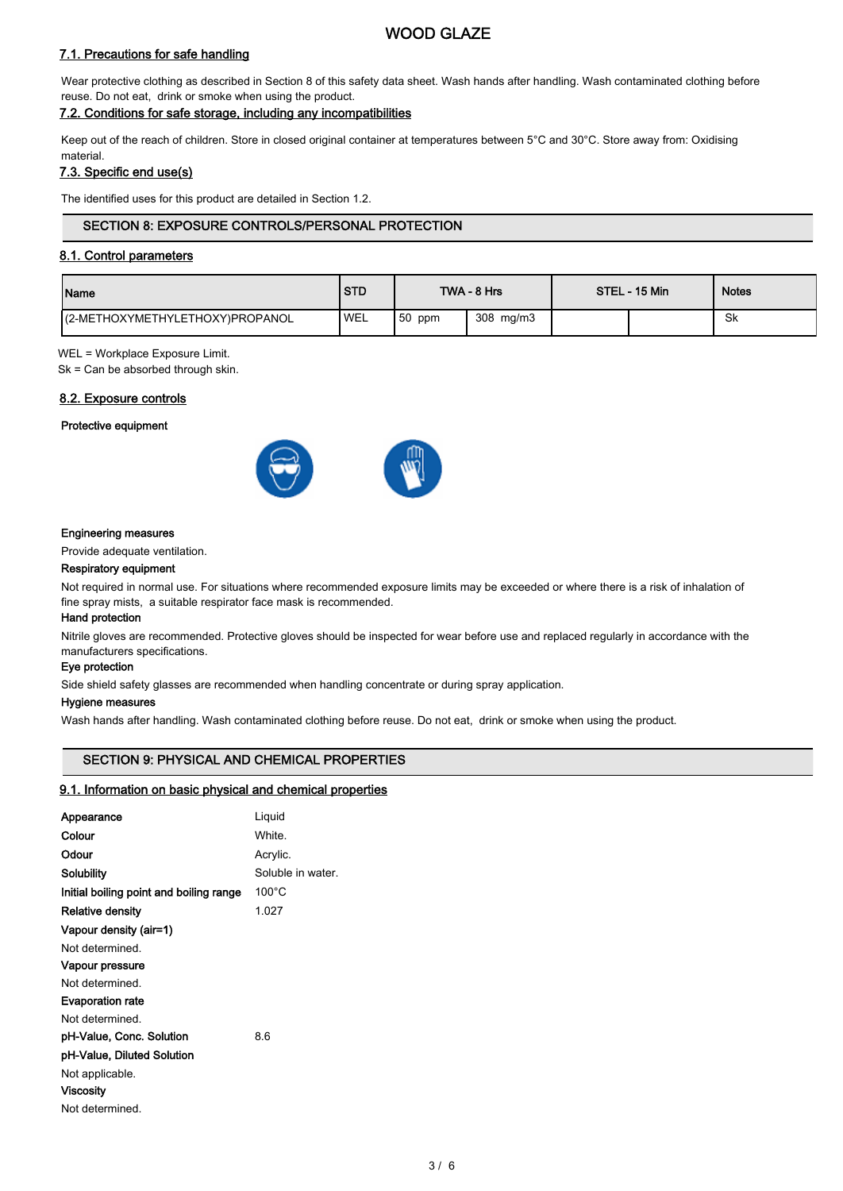# WOOD GLAZE

# 7.1. Precautions for safe handling

Wear protective clothing as described in Section 8 of this safety data sheet. Wash hands after handling. Wash contaminated clothing before reuse. Do not eat, drink or smoke when using the product.

# 7.2. Conditions for safe storage, including any incompatibilities

Keep out of the reach of children. Store in closed original container at temperatures between 5°C and 30°C. Store away from: Oxidising material.

# 7.3. Specific end use(s)

The identified uses for this product are detailed in Section 1.2.

# SECTION 8: EXPOSURE CONTROLS/PERSONAL PROTECTION

# 8.1. Control parameters

| Name                             | <b>STD</b> | TWA - 8 Hrs |           | STEL - 15 Min |  | <b>Notes</b> |
|----------------------------------|------------|-------------|-----------|---------------|--|--------------|
| I(2-METHOXYMETHYLETHOXY)PROPANOL | <b>WEL</b> | $150$ ppm   | 308 mg/m3 |               |  | Sk           |

WEL = Workplace Exposure Limit.

Sk = Can be absorbed through skin.

### 8.2. Exposure controls

#### Protective equipment



#### Engineering measures

Provide adequate ventilation.

#### Respiratory equipment

Not required in normal use. For situations where recommended exposure limits may be exceeded or where there is a risk of inhalation of fine spray mists, a suitable respirator face mask is recommended.

#### Hand protection

Nitrile gloves are recommended. Protective gloves should be inspected for wear before use and replaced regularly in accordance with the manufacturers specifications.

#### Eye protection

Side shield safety glasses are recommended when handling concentrate or during spray application.

#### Hygiene measures

Wash hands after handling. Wash contaminated clothing before reuse. Do not eat, drink or smoke when using the product.

# SECTION 9: PHYSICAL AND CHEMICAL PROPERTIES

#### 9.1. Information on basic physical and chemical properties

| Appearance                              | Liquid            |
|-----------------------------------------|-------------------|
| Colour                                  | White.            |
| Odour                                   | Acrylic.          |
| Solubility                              | Soluble in water. |
| Initial boiling point and boiling range | $100^{\circ}$ C   |
| Relative density                        | 1.027             |
| Vapour density (air=1)                  |                   |
| Not determined.                         |                   |
| Vapour pressure                         |                   |
| Not determined.                         |                   |
| <b>Evaporation rate</b>                 |                   |
| Not determined.                         |                   |
| pH-Value, Conc. Solution                | 8.6               |
| pH-Value, Diluted Solution              |                   |
| Not applicable.                         |                   |
| Viscosity                               |                   |
| Not determined.                         |                   |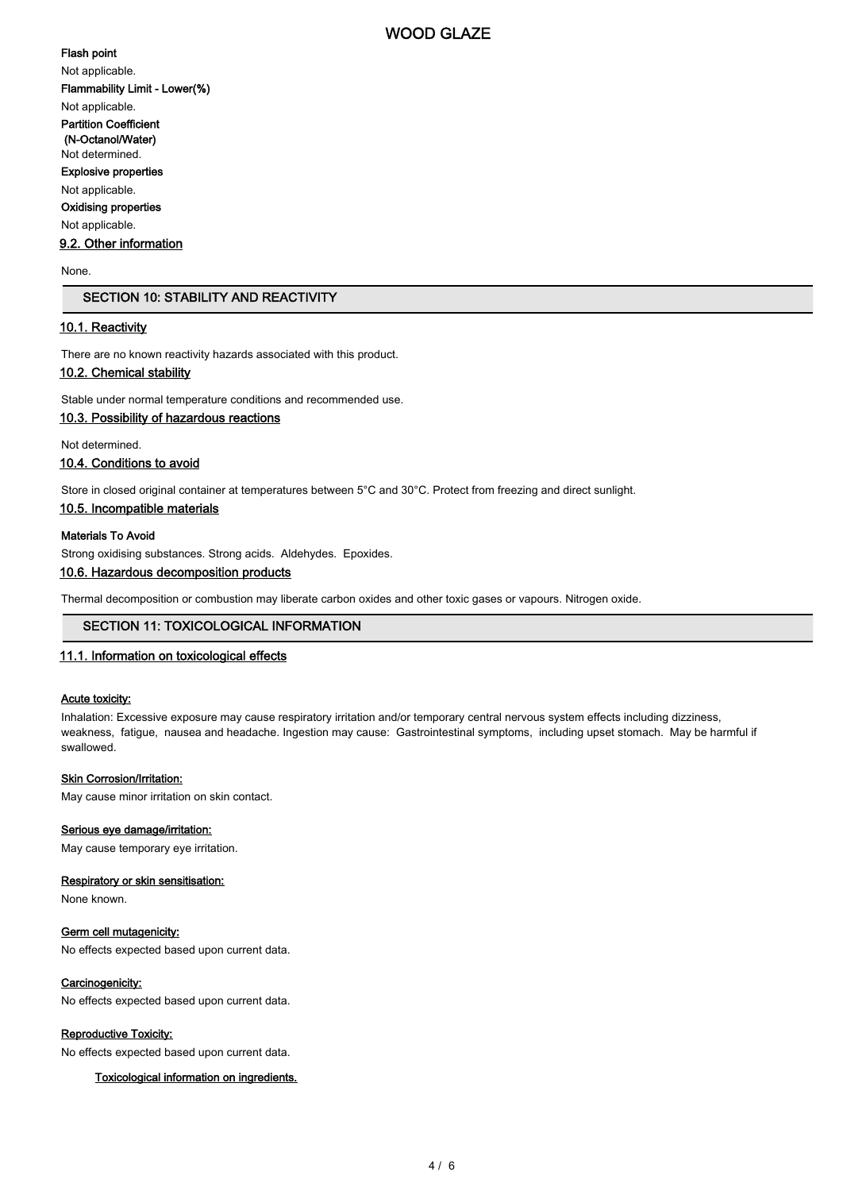# WOOD GLAZE

#### Flash point

Not applicable. Flammability Limit - Lower(%)

Not applicable.

Partition Coefficient (N-Octanol/Water)

Not determined.

Explosive properties

Not applicable.

Oxidising properties

Not applicable.

9.2. Other information

None.

# SECTION 10: STABILITY AND REACTIVITY

# 10.1. Reactivity

There are no known reactivity hazards associated with this product.

# 10.2. Chemical stability

Stable under normal temperature conditions and recommended use.

## 10.3. Possibility of hazardous reactions

Not determined.

# 10.4. Conditions to avoid

Store in closed original container at temperatures between 5°C and 30°C. Protect from freezing and direct sunlight.

#### 10.5. Incompatible materials

### Materials To Avoid

Strong oxidising substances. Strong acids. Aldehydes. Epoxides.

#### 10.6. Hazardous decomposition products

Thermal decomposition or combustion may liberate carbon oxides and other toxic gases or vapours. Nitrogen oxide.

# SECTION 11: TOXICOLOGICAL INFORMATION

# 11.1. Information on toxicological effects

#### Acute toxicity:

Inhalation: Excessive exposure may cause respiratory irritation and/or temporary central nervous system effects including dizziness, weakness, fatigue, nausea and headache. Ingestion may cause: Gastrointestinal symptoms, including upset stomach. May be harmful if swallowed.

#### Skin Corrosion/Irritation:

May cause minor irritation on skin contact.

#### Serious eye damage/irritation:

May cause temporary eye irritation.

#### Respiratory or skin sensitisation:

None known.

#### Germ cell mutagenicity:

No effects expected based upon current data.

#### Carcinogenicity:

No effects expected based upon current data.

#### Reproductive Toxicity:

No effects expected based upon current data.

#### Toxicological information on ingredients.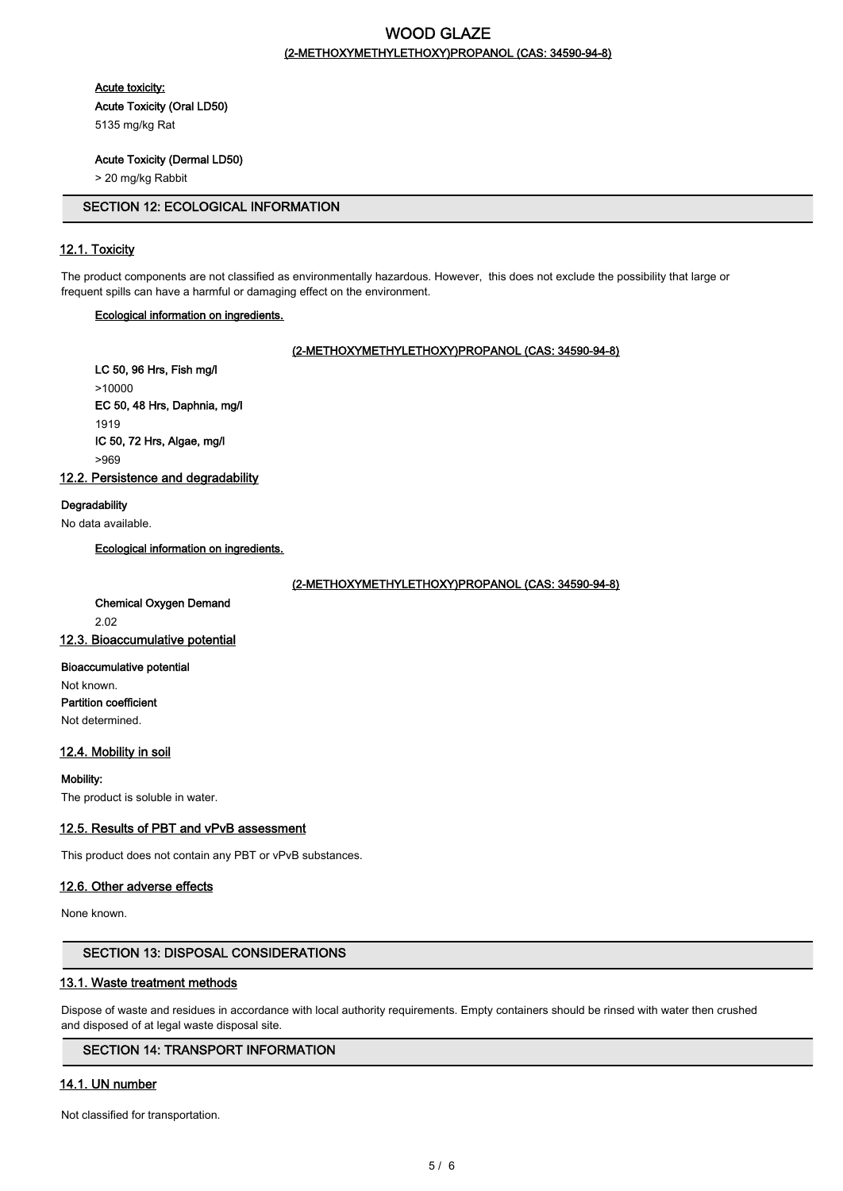# WOOD GLAZE (2-METHOXYMETHYLETHOXY)PROPANOL (CAS: 34590-94-8)

Acute toxicity:

Acute Toxicity (Oral LD50)

5135 mg/kg Rat

# Acute Toxicity (Dermal LD50)

> 20 mg/kg Rabbit

# SECTION 12: ECOLOGICAL INFORMATION

# 12.1. Toxicity

The product components are not classified as environmentally hazardous. However, this does not exclude the possibility that large or frequent spills can have a harmful or damaging effect on the environment.

### Ecological information on ingredients.

#### (2-METHOXYMETHYLETHOXY)PROPANOL (CAS: 34590-94-8)

LC 50, 96 Hrs, Fish mg/l >10000 EC 50, 48 Hrs, Daphnia, mg/l 1919 IC 50, 72 Hrs, Algae, mg/l >969

12.2. Persistence and degradability

### **Degradability**

No data available.

Ecological information on ingredients.

(2-METHOXYMETHYLETHOXY)PROPANOL (CAS: 34590-94-8)

Chemical Oxygen Demand 2.02 12.3. Bioaccumulative potential

Bioaccumulative potential Not known. Partition coefficient Not determined.

# 12.4. Mobility in soil

Mobility: The product is soluble in water.

# 12.5. Results of PBT and vPvB assessment

This product does not contain any PBT or vPvB substances.

# 12.6. Other adverse effects

None known.

# SECTION 13: DISPOSAL CONSIDERATIONS

#### 13.1. Waste treatment methods

Dispose of waste and residues in accordance with local authority requirements. Empty containers should be rinsed with water then crushed and disposed of at legal waste disposal site.

# SECTION 14: TRANSPORT INFORMATION

# 14.1. UN number

Not classified for transportation.